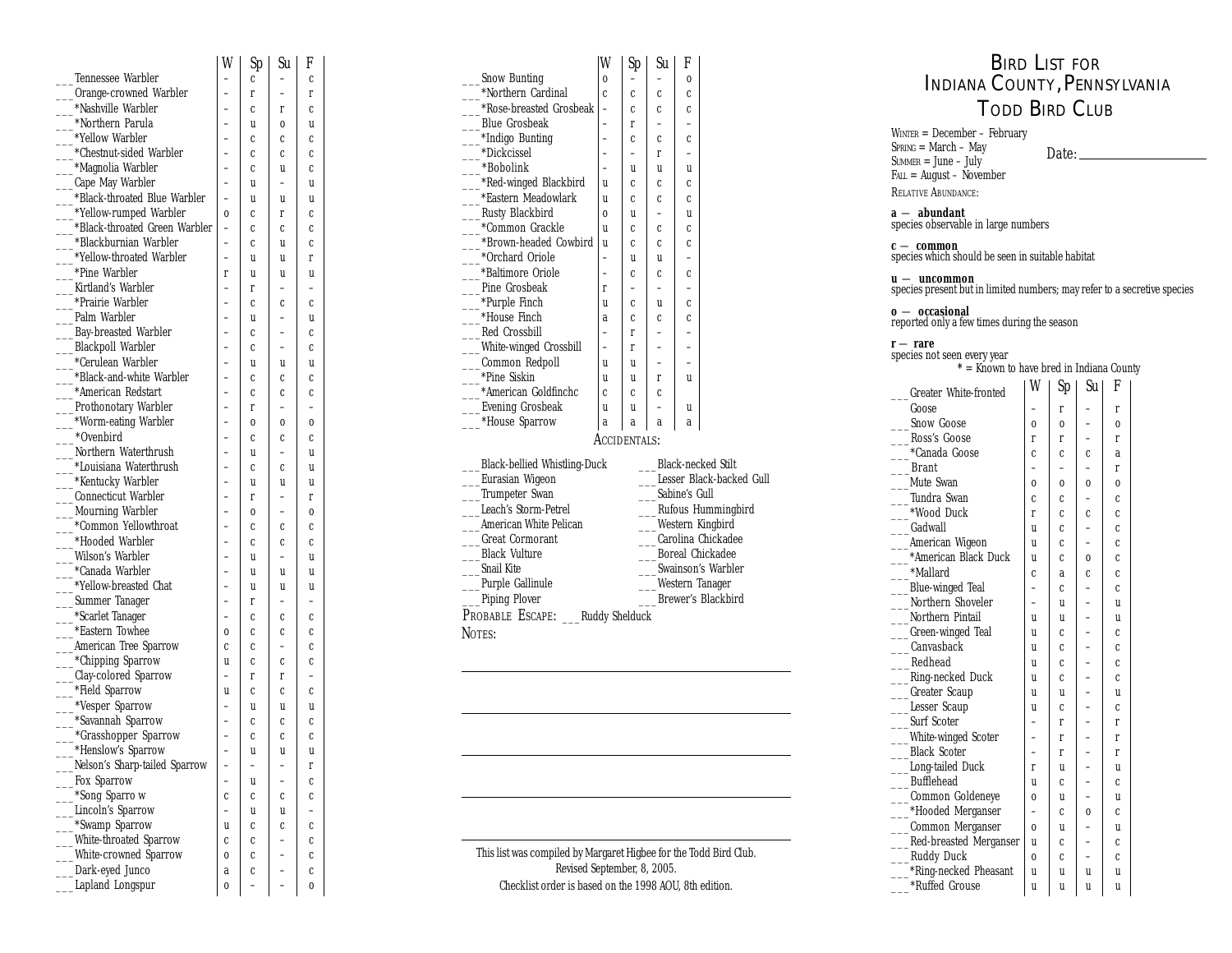|                               | W           | Sp | Su          | F        |  |
|-------------------------------|-------------|----|-------------|----------|--|
| <b>Tennessee Warbler</b>      |             | C  |             | C        |  |
| Orange-crowned Warbler        |             | r  |             | r        |  |
| *Nashville Warbler            |             | C  | r           | C        |  |
| *Northern Parula              |             | u  | 0           | u        |  |
| *Yellow Warbler               |             | c  | C           | C        |  |
| *Chestnut-sided Warbler       |             | C  | C           | C        |  |
| *Magnolia Warbler             |             | c  | U           | C        |  |
| Cape May Warbler              |             | u  |             | u        |  |
| *Black-throated Blue Warbler  |             | u  | u           | u        |  |
| *Yellow-rumped Warbler        | $\bf{0}$    | c  | r           | C        |  |
| *Black-throated Green Warbler |             | C  | Ċ           | C        |  |
| *Blackburnian Warbler         |             | c  | U           | C        |  |
| *Yellow-throated Warbler      |             | u  | u           | r        |  |
| *Pine Warbler                 | r           | u  | u           | u        |  |
| Kirtland's Warbler            |             | r  |             |          |  |
| *Prairie Warbler              |             | C  | C           | C        |  |
| Palm Warbler                  |             | u  |             | u        |  |
| <b>Bay-breasted Warbler</b>   |             | C  |             | C        |  |
| <b>Blackpoll Warbler</b>      |             | C  |             | C        |  |
| *Cerulean Warbler             |             | u  | u           | u        |  |
| *Black-and-white Warbler      |             | C  | C           | C        |  |
| *American Redstart            |             | C  | C           | C        |  |
| <b>Prothonotary Warbler</b>   |             | r  |             |          |  |
| *Worm-eating Warbler          |             | 0  | 0           | $\bf{0}$ |  |
| *Ovenbird                     |             | C  | C           | C        |  |
| Northern Waterthrush          |             | u  |             | u        |  |
| *Louisiana Waterthrush        |             | c  | C           | u        |  |
| *Kentucky Warbler             |             | u  | u           | u        |  |
| <b>Connecticut Warbler</b>    |             | r  |             | r        |  |
| <b>Mourning Warbler</b>       |             | 0  |             | $\bf{0}$ |  |
| *Common Yellowthroat          |             | C  | C           | C        |  |
| *Hooded Warbler               |             | c  | C           | C        |  |
| <b>Wilson's Warbler</b>       |             | u  |             | U        |  |
| *Canada Warbler               |             | u  | u           | u        |  |
| *Yellow-breasted Chat         |             | u  | U           | u        |  |
| Summer Tanager                |             | r  |             |          |  |
| *Scarlet Tanager              |             | C  | C           | C        |  |
| *Eastern Towhee               | $\bf{0}$    | c  | C           | C        |  |
| <b>American Tree Sparrow</b>  | $\mathbf c$ | C  |             | C        |  |
| *Chipping Sparrow             | u           | c  | C           | C        |  |
| Clay-colored Sparrow          |             | r  | r           |          |  |
| *Field Sparrow                | u           | C  | C           | C        |  |
| *Vesper Sparrow               |             | u  | u           | U        |  |
| *Savannah Sparrow             |             | C  | C           | C        |  |
| *Grasshopper Sparrow          |             | C  | $\mathbf c$ | C        |  |
| *Henslow's Sparrow            |             | u  | u           | U        |  |
| Nelson's Sharp-tailed Sparrow |             |    |             | r        |  |
| Fox Sparrow                   |             | U  |             | C        |  |
| *Song Sparro w                | C           | C  | C           | C        |  |
| <b>Lincoln's Sparrow</b>      |             | U  | u           |          |  |
| *Swamp Sparrow                | U           | C  | C           | C        |  |
| <b>White-throated Sparrow</b> | C           | C  |             | C        |  |
| White-crowned Sparrow         | 0           | C  |             | C        |  |
| Dark-eyed Junco               | a           | C  |             | C        |  |
| Lapland Longspur              | 0           |    |             | $\bf{0}$ |  |
|                               |             |    |             |          |  |

| W        | Sp          | Su                       | F            |                                                                  | W                        | Sp                       | Su                       | F           |  |  |  |  |
|----------|-------------|--------------------------|--------------|------------------------------------------------------------------|--------------------------|--------------------------|--------------------------|-------------|--|--|--|--|
| -        | $\mathbf c$ | $\overline{\phantom{0}}$ | $\mathbf c$  | <b>Snow Bunting</b>                                              | $\bf{0}$                 | $\equiv$                 | $\equiv$                 | $\bf{0}$    |  |  |  |  |
|          | r           | $\overline{\phantom{0}}$ | r            | *Northern Cardinal                                               | $\mathbf{c}$             | $\mathbf c$              | c                        | C           |  |  |  |  |
|          | c           | r                        | $\mathbf c$  | *Rose-breasted Grosbeak                                          | $\overline{\phantom{0}}$ | $\mathbf{c}$             | $\mathbf c$              | $\mathbf c$ |  |  |  |  |
|          | u           | $\bf{0}$                 | $\mathbf{u}$ | <b>Blue Grosbeak</b>                                             | $\overline{\phantom{0}}$ | r                        |                          |             |  |  |  |  |
|          | c           | Ċ                        | $\mathbf{c}$ | *Indigo Bunting                                                  | -                        | $\mathbf{c}$             | C                        | C           |  |  |  |  |
|          | C           | C                        | C            | *Dickcissel                                                      | $\overline{\phantom{0}}$ | $\overline{\phantom{0}}$ | r                        |             |  |  |  |  |
|          | C           | u                        | $\mathbf c$  | *Bobolink                                                        | $\overline{\phantom{0}}$ | u                        | u                        | u           |  |  |  |  |
|          | u           | -                        | u            | *Red-winged Blackbird                                            | u                        | $\mathbf c$              | $\mathbf c$              | $\mathbf c$ |  |  |  |  |
|          | u           | u                        | u            | *Eastern Meadowlark                                              | u                        | C.                       | $\mathbf c$              | Ċ           |  |  |  |  |
| $\bf{0}$ | c           | r                        | $\mathbf c$  | <b>Rusty Blackbird</b>                                           | $\bf{0}$                 | u                        |                          | u           |  |  |  |  |
|          | c           | C                        | $\mathbf c$  | *Common Grackle                                                  | u                        | C.                       | C                        | C           |  |  |  |  |
|          | c           | u                        | $\mathbf c$  | *Brown-headed Cowbird                                            | u                        | C.                       | C                        | C           |  |  |  |  |
|          | u           | u                        | r            | *Orchard Oriole                                                  | $\overline{\phantom{0}}$ | u                        | u                        |             |  |  |  |  |
| r        | u           | u                        | u            | *Baltimore Oriole                                                | $\equiv$                 | C                        | C                        | C           |  |  |  |  |
|          | r           | -                        |              | Pine Grosbeak                                                    | r                        | $\overline{\phantom{0}}$ |                          |             |  |  |  |  |
|          | c           | C                        | $\mathbf{c}$ | *Purple Finch                                                    | u                        | $\mathbf{c}$             | u                        | C           |  |  |  |  |
|          | u           |                          | u            | *House Finch                                                     | a                        | C.                       | $\mathbf c$              | C           |  |  |  |  |
|          | c           | -                        | $\mathbf c$  | <b>Red Crossbill</b>                                             | $\overline{\phantom{0}}$ | r                        | ۳                        |             |  |  |  |  |
|          | c           |                          | $\mathbf c$  | White-winged Crossbill                                           | ÷                        | r                        | $\overline{\phantom{0}}$ |             |  |  |  |  |
|          | u           | u                        | u            | Common Redpoll                                                   | u                        | u                        | $\overline{\phantom{0}}$ |             |  |  |  |  |
|          | C           | C                        | $\mathbf c$  | *Pine Siskin                                                     | u                        | u                        | r                        | u           |  |  |  |  |
|          | c           | C                        | $\mathbf c$  | *American Goldfinchc                                             | $\mathbf c$              | $\mathbf c$              | c                        |             |  |  |  |  |
|          | r           |                          |              | <b>Evening Grosbeak</b>                                          | u                        | u                        |                          | u           |  |  |  |  |
|          | $\bf{0}$    | 0                        | $\bf{0}$     | *House Sparrow                                                   | a                        | a                        | a                        | a           |  |  |  |  |
|          | c           | C                        | $\mathbf{c}$ |                                                                  | ACCIDENTALS:             |                          |                          |             |  |  |  |  |
|          | u           |                          | u            |                                                                  |                          |                          |                          |             |  |  |  |  |
|          | c           | C                        | u            | <b>Black-necked Stilt</b><br><b>Black-bellied Whistling-Duck</b> |                          |                          |                          |             |  |  |  |  |
|          | u           | u                        | u            | Lesser Black-backed Gull<br>Eurasian Wigeon                      |                          |                          |                          |             |  |  |  |  |
|          | r           | -                        | r            | Trumpeter Swan<br>Sabine's Gull                                  |                          |                          |                          |             |  |  |  |  |
|          | $\Omega$    |                          | $\Omega$     | Leach's Storm-Petrel<br><b>Rufous Hummingbird</b>                |                          |                          |                          |             |  |  |  |  |
|          | c           | C                        | $\mathbf c$  | <b>American White Pelican</b><br><b>Western Kingbird</b>         |                          |                          |                          |             |  |  |  |  |
|          | C           | C                        | $\mathbf c$  | Carolina Chickadee<br><b>Great Cormorant</b>                     |                          |                          |                          |             |  |  |  |  |
|          | u           |                          | u            | <b>Boreal Chickadee</b><br><b>Black Vulture</b>                  |                          |                          |                          |             |  |  |  |  |
|          | u           | u                        | u            | <b>Snail Kite</b>                                                | Swainson's Warbler       |                          |                          |             |  |  |  |  |

\_\_\_Purple Gallinule \_\_\_Piping Plover

NOTES:

PROBABLE ESCAPE: \_\_\_ Ruddy Shelduck

This list was compiled by Margaret Higbee for the Todd Bird Club. Revised September, 8, 2005. Checklist order is based on the 1998 AOU, 8th edition.

\_\_\_Western Tanager \_\_\_\_Brewer's Blackbird

## BIRD LIST FOR INDIANA COUNTY, PENNSYLVANIA TODD BIRD CLUB

 $W_{\text{INTER}} = \text{December} - \text{February}$  $SPRING = March - May$  $S$ UMMER = June – July FALL = August – November Date:

RELATIVE ABUNDANCE:

**a** — **abundant** species observable in large numbers

**<sup>c</sup>** — **common** species which should be seen in suitable habitat

**u** — **uncommon**<br>species present but in limited numbers; may refer to a secretive species

**o** — **occasional** reported only a few times during the season

**<sup>r</sup>** — **rare** species not seen every year **\*** = Known to have bred in Indiana County

| <b>Greater White-fronted</b> | W        | Sp       | Su l        | F           |
|------------------------------|----------|----------|-------------|-------------|
| Goose                        |          | r        |             | r           |
| <b>Snow Goose</b>            | 0        | 0        |             | 0           |
| Ross's Goose                 | r        | r        |             | r           |
| *Canada Goose                | c        | c        | c           | a           |
| <b>Brant</b>                 |          |          |             | r           |
| Mute Swan                    | $\bf{0}$ | $\bf{0}$ | $\bf{0}$    | $\bf{0}$    |
| Tundra Swan                  | Ċ        | Ċ        |             | Ċ           |
| *Wood Duck                   | r        | c        | c           | Ċ           |
| Gadwall                      | u        | Ċ        |             | Ċ           |
| American Wigeon              | u        | Ċ        |             | $\mathbf c$ |
| *American Black Duck         | u        | Ċ        | $\bf{0}$    | Ċ           |
| *Mallard                     | c        | a        | $\mathbf c$ | Ċ           |
| Blue-winged Teal             |          | Ċ        |             | Ċ           |
| Northern Shoveler            |          | u        |             | U           |
| Northern Pintail             | u        | U        |             | U           |
| __Green-winged Teal          | u        | c        |             | c           |
| Canvasback                   | u        | c        |             | c           |
| Redhead                      | u        | Ċ        |             | Ċ           |
| Ring-necked Duck             | U        | Ċ        |             | Ċ           |
| __Greater Scaup              | u        | u        |             | u           |
| Lesser Scaup                 | u        | Ċ        |             | Ċ           |
| <b>Surf Scoter</b>           |          | r        |             | r           |
| White-winged Scoter          |          | r        |             | r           |
| <b>Black Scoter</b>          |          | r        |             | r           |
| <b>Long-tailed Duck</b>      | r        | u        |             | U           |
| <b>Bufflehead</b>            | u        | Ċ        |             | Ċ           |
| Common Goldeneye             | 0        | U        |             | U           |
| -*Hooded Merganser           |          | Ċ        | 0           | Ċ           |
| __Common Merganser           | 0        | u        |             | U           |
| Red-breasted Merganser       | U        | Ċ        |             | Ċ           |
| ___Ruddy Duck                | $\bf{0}$ | c        |             | Ċ           |
| -*Ring-necked Pheasant       | u        | U        | U           | U           |
| *Ruffed Grouse               | u        | u        | u           | u           |